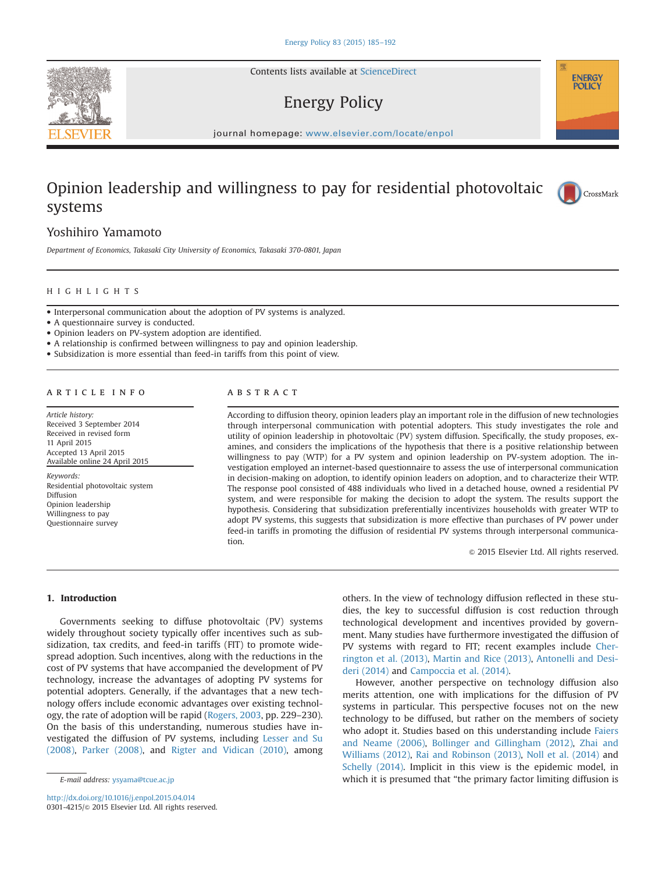Contents lists available at [ScienceDirect](www.sciencedirect.com/science/journal/03014215)

# Energy Policy

journal homepage: <www.elsevier.com/locate/enpol>e  $\mathcal{N}$ 

# Opinion leadership and willingness to pay for residential photovoltaic systems

### Yoshihiro Yamamoto

Department of Economics, Takasaki City University of Economics, Takasaki 370-0801, Japan

#### HIGHLIGHTS

- Interpersonal communication about the adoption of PV systems is analyzed.
- A questionnaire survey is conducted.
- Opinion leaders on PV-system adoption are identified.
- A relationship is confirmed between willingness to pay and opinion leadership.
- Subsidization is more essential than feed-in tariffs from this point of view.

#### article info

Article history: Received 3 September 2014 Received in revised form 11 April 2015 Accepted 13 April 2015 Available online 24 April 2015

Keywords: Residential photovoltaic system Diffusion Opinion leadership Willingness to pay Questionnaire survey

#### **ABSTRACT**

According to diffusion theory, opinion leaders play an important role in the diffusion of new technologies through interpersonal communication with potential adopters. This study investigates the role and utility of opinion leadership in photovoltaic (PV) system diffusion. Specifically, the study proposes, examines, and considers the implications of the hypothesis that there is a positive relationship between willingness to pay (WTP) for a PV system and opinion leadership on PV-system adoption. The investigation employed an internet-based questionnaire to assess the use of interpersonal communication in decision-making on adoption, to identify opinion leaders on adoption, and to characterize their WTP. The response pool consisted of 488 individuals who lived in a detached house, owned a residential PV system, and were responsible for making the decision to adopt the system. The results support the hypothesis. Considering that subsidization preferentially incentivizes households with greater WTP to adopt PV systems, this suggests that subsidization is more effective than purchases of PV power under feed-in tariffs in promoting the diffusion of residential PV systems through interpersonal communication.

 $\odot$  2015 Elsevier Ltd. All rights reserved.

#### 1. Introduction

Governments seeking to diffuse photovoltaic (PV) systems widely throughout society typically offer incentives such as subsidization, tax credits, and feed-in tariffs (FIT) to promote widespread adoption. Such incentives, along with the reductions in the cost of PV systems that have accompanied the development of PV technology, increase the advantages of adopting PV systems for potential adopters. Generally, if the advantages that a new technology offers include economic advantages over existing technology, the rate of adoption will be rapid (Rogers, 2003, pp. 229–230). On the basis of this understanding, numerous studies have investigated the diffusion of PV systems, including Lesser and Su (2008), Parker (2008), and Rigter and Vidican (2010), among

<http://dx.doi.org/10.1016/j.enpol.2015.04.014> 0301-4215/@ 2015 Elsevier Ltd. All rights reserved. others. In the view of technology diffusion reflected in these studies, the key to successful diffusion is cost reduction through technological development and incentives provided by government. Many studies have furthermore investigated the diffusion of PV systems with regard to FIT; recent examples include Cherrington et al. (2013), Martin and Rice (2013), Antonelli and Desideri (2014) and Campoccia et al. (2014).

However, another perspective on technology diffusion also merits attention, one with implications for the diffusion of PV systems in particular. This perspective focuses not on the new technology to be diffused, but rather on the members of society who adopt it. Studies based on this understanding include Faiers and Neame (2006), Bollinger and Gillingham (2012), Zhai and Williams (2012), Rai and Robinson (2013), Noll et al. (2014) and Schelly (2014). Implicit in this view is the epidemic model, in which it is presumed that "the primary factor limiting diffusion is





**ENERGY** POLIC'

E-mail address: [ysyama@tcue.ac.jp](mailto:ysyama@tcue.ac.jp)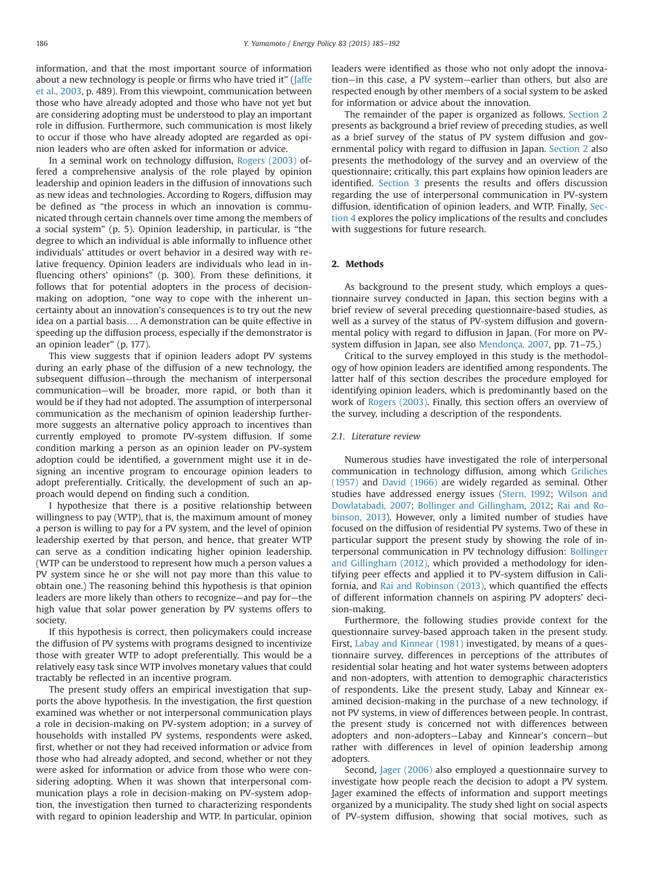information, and that the most important source of information about a new technology is people or firms who have tried it" (Jaffe et al., 2003, p. 489). From this viewpoint, communication between those who have already adopted and those who have not yet but are considering adopting must be understood to play an important role in diffusion. Furthermore, such communication is most likely to occur if those who have already adopted are regarded as opinion leaders who are often asked for information or advice.

In a seminal work on technology diffusion, Rogers (2003) offered a comprehensive analysis of the role played by opinion leadership and opinion leaders in the diffusion of innovations such as new ideas and technologies. According to Rogers, diffusion may be defined as "the process in which an innovation is communicated through certain channels over time among the members of a social system" (p. 5). Opinion leadership, in particular, is "the degree to which an individual is able informally to influence other individuals' attitudes or overt behavior in a desired way with relative frequency. Opinion leaders are individuals who lead in influencing others' opinions" (p. 300). From these definitions, it follows that for potential adopters in the process of decisionmaking on adoption, "one way to cope with the inherent uncertainty about an innovation's consequences is to try out the new idea on a partial basis…. A demonstration can be quite effective in speeding up the diffusion process, especially if the demonstrator is an opinion leader" (p. 177).

This view suggests that if opinion leaders adopt PV systems during an early phase of the diffusion of a new technology, the subsequent diffusion—through the mechanism of interpersonal communication—will be broader, more rapid, or both than it would be if they had not adopted. The assumption of interpersonal communication as the mechanism of opinion leadership furthermore suggests an alternative policy approach to incentives than currently employed to promote PV-system diffusion. If some condition marking a person as an opinion leader on PV-system adoption could be identified, a government might use it in designing an incentive program to encourage opinion leaders to adopt preferentially. Critically, the development of such an approach would depend on finding such a condition.

I hypothesize that there is a positive relationship between willingness to pay (WTP), that is, the maximum amount of money a person is willing to pay for a PV system, and the level of opinion leadership exerted by that person, and hence, that greater WTP can serve as a condition indicating higher opinion leadership. (WTP can be understood to represent how much a person values a PV system since he or she will not pay more than this value to obtain one.) The reasoning behind this hypothesis is that opinion leaders are more likely than others to recognize—and pay for—the high value that solar power generation by PV systems offers to society.

If this hypothesis is correct, then policymakers could increase the diffusion of PV systems with programs designed to incentivize those with greater WTP to adopt preferentially. This would be a relatively easy task since WTP involves monetary values that could tractably be reflected in an incentive program.

The present study offers an empirical investigation that supports the above hypothesis. In the investigation, the first question examined was whether or not interpersonal communication plays a role in decision-making on PV-system adoption; in a survey of households with installed PV systems, respondents were asked, first, whether or not they had received information or advice from those who had already adopted, and second, whether or not they were asked for information or advice from those who were considering adopting. When it was shown that interpersonal communication plays a role in decision-making on PV-system adoption, the investigation then turned to characterizing respondents with regard to opinion leadership and WTP. In particular, opinion leaders were identified as those who not only adopt the innovation—in this case, a PV system—earlier than others, but also are respected enough by other members of a social system to be asked for information or advice about the innovation.

The remainder of the paper is organized as follows. Section 2 presents as background a brief review of preceding studies, as well as a brief survey of the status of PV system diffusion and governmental policy with regard to diffusion in Japan. Section 2 also presents the methodology of the survey and an overview of the questionnaire; critically, this part explains how opinion leaders are identified. Section 3 presents the results and offers discussion regarding the use of interpersonal communication in PV-system diffusion, identification of opinion leaders, and WTP. Finally, Section 4 explores the policy implications of the results and concludes with suggestions for future research.

#### 2. Methods

As background to the present study, which employs a questionnaire survey conducted in Japan, this section begins with a brief review of several preceding questionnaire-based studies, as well as a survey of the status of PV-system diffusion and governmental policy with regard to diffusion in Japan. (For more on PVsystem diffusion in Japan, see also Mendonça, 2007, pp. 71–75.)

Critical to the survey employed in this study is the methodology of how opinion leaders are identified among respondents. The latter half of this section describes the procedure employed for identifying opinion leaders, which is predominantly based on the work of Rogers (2003). Finally, this section offers an overview of the survey, including a description of the respondents.

#### 2.1. Literature review

Numerous studies have investigated the role of interpersonal communication in technology diffusion, among which Griliches (1957) and David (1966) are widely regarded as seminal. Other studies have addressed energy issues (Stern, 1992; Wilson and Dowlatabadi, 2007; Bollinger and Gillingham, 2012; Rai and Robinson, 2013). However, only a limited number of studies have focused on the diffusion of residential PV systems. Two of these in particular support the present study by showing the role of interpersonal communication in PV technology diffusion: Bollinger and Gillingham (2012), which provided a methodology for identifying peer effects and applied it to PV-system diffusion in California, and Rai and Robinson (2013), which quantified the effects of different information channels on aspiring PV adopters' decision-making.

Furthermore, the following studies provide context for the questionnaire survey-based approach taken in the present study. First, Labay and Kinnear (1981) investigated, by means of a questionnaire survey, differences in perceptions of the attributes of residential solar heating and hot water systems between adopters and non-adopters, with attention to demographic characteristics of respondents. Like the present study, Labay and Kinnear examined decision-making in the purchase of a new technology, if not PV systems, in view of differences between people. In contrast, the present study is concerned not with differences between adopters and non-adopters—Labay and Kinnear's concern—but rather with differences in level of opinion leadership among adopters.

Second, Jager (2006) also employed a questionnaire survey to investigate how people reach the decision to adopt a PV system. Jager examined the effects of information and support meetings organized by a municipality. The study shed light on social aspects of PV-system diffusion, showing that social motives, such as